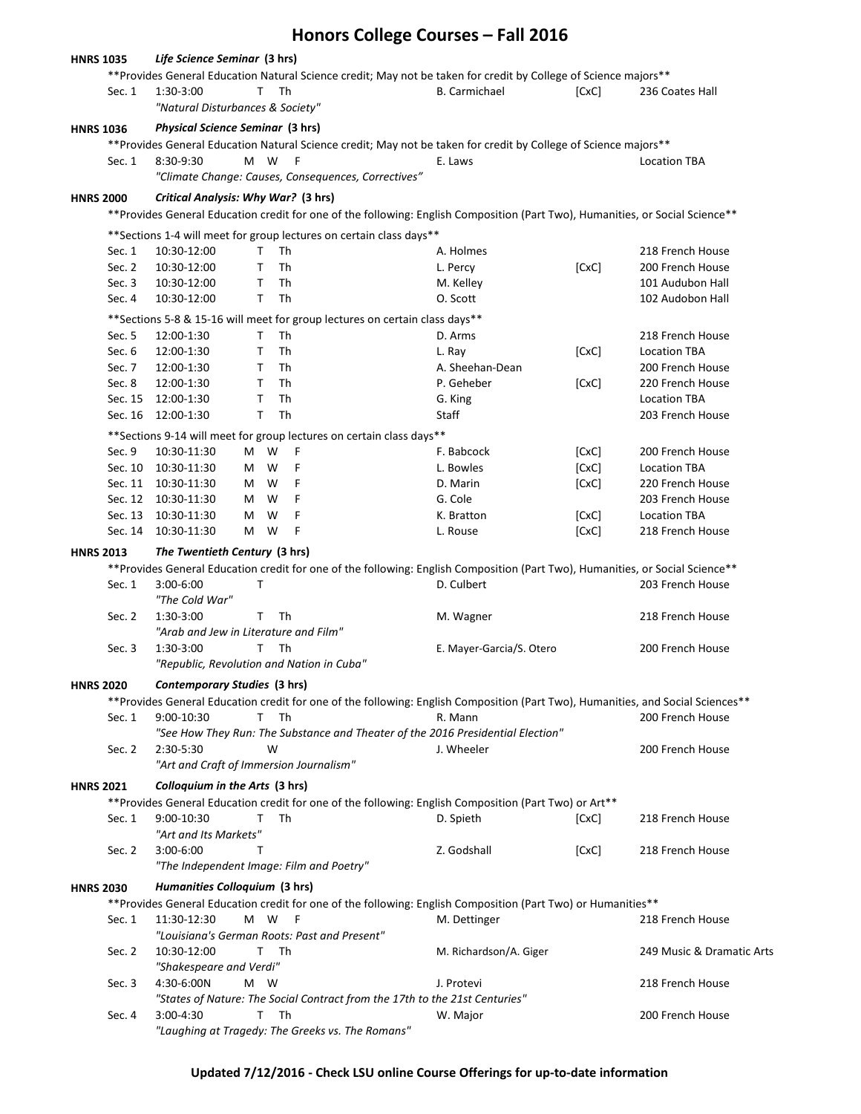|                  |                                                                                                                                                                                                       |                                                                                                                                                                                                                                                                               |         |           |                                                                              | Honors College Courses - Fall 2016                                                                               |       |                                                                                                                               |  |  |
|------------------|-------------------------------------------------------------------------------------------------------------------------------------------------------------------------------------------------------|-------------------------------------------------------------------------------------------------------------------------------------------------------------------------------------------------------------------------------------------------------------------------------|---------|-----------|------------------------------------------------------------------------------|------------------------------------------------------------------------------------------------------------------|-------|-------------------------------------------------------------------------------------------------------------------------------|--|--|
| <b>HNRS 1035</b> |                                                                                                                                                                                                       | Life Science Seminar (3 hrs)                                                                                                                                                                                                                                                  |         |           |                                                                              | ** Provides General Education Natural Science credit; May not be taken for credit by College of Science majors** |       |                                                                                                                               |  |  |
|                  | Sec. 1                                                                                                                                                                                                | 1:30-3:00<br>"Natural Disturbances & Society"                                                                                                                                                                                                                                 | T.      | Th        |                                                                              | <b>B.</b> Carmichael                                                                                             | [CxC] | 236 Coates Hall                                                                                                               |  |  |
| <b>HNRS 1036</b> |                                                                                                                                                                                                       | <b>Physical Science Seminar (3 hrs)</b>                                                                                                                                                                                                                                       |         |           |                                                                              |                                                                                                                  |       |                                                                                                                               |  |  |
|                  |                                                                                                                                                                                                       |                                                                                                                                                                                                                                                                               |         |           |                                                                              | **Provides General Education Natural Science credit; May not be taken for credit by College of Science majors**  |       |                                                                                                                               |  |  |
|                  | Sec. 1                                                                                                                                                                                                | 8:30-9:30                                                                                                                                                                                                                                                                     | M W     | F         | "Climate Change: Causes, Consequences, Correctives"                          | E. Laws                                                                                                          |       | <b>Location TBA</b>                                                                                                           |  |  |
| <b>HNRS 2000</b> |                                                                                                                                                                                                       | Critical Analysis: Why War? (3 hrs)                                                                                                                                                                                                                                           |         |           |                                                                              |                                                                                                                  |       |                                                                                                                               |  |  |
|                  | **Provides General Education credit for one of the following: English Composition (Part Two), Humanities, or Social Science**<br>** Sections 1-4 will meet for group lectures on certain class days** |                                                                                                                                                                                                                                                                               |         |           |                                                                              |                                                                                                                  |       |                                                                                                                               |  |  |
|                  | Sec. 1                                                                                                                                                                                                | 10:30-12:00                                                                                                                                                                                                                                                                   | T.      | Th        |                                                                              | A. Holmes                                                                                                        |       | 218 French House                                                                                                              |  |  |
|                  | Sec. 2                                                                                                                                                                                                | 10:30-12:00                                                                                                                                                                                                                                                                   | т       | <b>Th</b> |                                                                              | L. Percy                                                                                                         | [CxC] | 200 French House                                                                                                              |  |  |
|                  | Sec. 3                                                                                                                                                                                                | 10:30-12:00                                                                                                                                                                                                                                                                   | T       | Th        |                                                                              | M. Kelley                                                                                                        |       | 101 Audubon Hall                                                                                                              |  |  |
|                  | Sec. 4                                                                                                                                                                                                | 10:30-12:00                                                                                                                                                                                                                                                                   | T.      | Th        |                                                                              | O. Scott                                                                                                         |       | 102 Audobon Hall                                                                                                              |  |  |
|                  |                                                                                                                                                                                                       |                                                                                                                                                                                                                                                                               |         |           |                                                                              |                                                                                                                  |       |                                                                                                                               |  |  |
|                  |                                                                                                                                                                                                       |                                                                                                                                                                                                                                                                               |         |           | ** Sections 5-8 & 15-16 will meet for group lectures on certain class days** |                                                                                                                  |       |                                                                                                                               |  |  |
|                  | Sec. 5                                                                                                                                                                                                | 12:00-1:30                                                                                                                                                                                                                                                                    | T       | Th        |                                                                              | D. Arms                                                                                                          |       | 218 French House                                                                                                              |  |  |
|                  | Sec. 6                                                                                                                                                                                                | 12:00-1:30                                                                                                                                                                                                                                                                    | T       | <b>Th</b> |                                                                              | L. Ray                                                                                                           | [CxC] | <b>Location TBA</b>                                                                                                           |  |  |
|                  | Sec. 7                                                                                                                                                                                                | 12:00-1:30                                                                                                                                                                                                                                                                    | Τ       | Th        |                                                                              | A. Sheehan-Dean                                                                                                  |       | 200 French House                                                                                                              |  |  |
|                  | Sec. 8                                                                                                                                                                                                | 12:00-1:30                                                                                                                                                                                                                                                                    | T       | Th        |                                                                              | P. Geheber                                                                                                       | [CxC] | 220 French House                                                                                                              |  |  |
|                  |                                                                                                                                                                                                       | Sec. 15 12:00-1:30                                                                                                                                                                                                                                                            | т<br>T. | Th        |                                                                              | G. King                                                                                                          |       | <b>Location TBA</b>                                                                                                           |  |  |
|                  | Sec. 16                                                                                                                                                                                               | 12:00-1:30                                                                                                                                                                                                                                                                    |         | Th        |                                                                              | Staff                                                                                                            |       | 203 French House                                                                                                              |  |  |
|                  |                                                                                                                                                                                                       |                                                                                                                                                                                                                                                                               |         |           | ** Sections 9-14 will meet for group lectures on certain class days**        |                                                                                                                  |       |                                                                                                                               |  |  |
|                  | Sec. 9                                                                                                                                                                                                | 10:30-11:30                                                                                                                                                                                                                                                                   | W<br>M  | F         |                                                                              | F. Babcock                                                                                                       | [CxC] | 200 French House                                                                                                              |  |  |
|                  | Sec. 10                                                                                                                                                                                               | 10:30-11:30                                                                                                                                                                                                                                                                   | W<br>M  | F         |                                                                              | L. Bowles                                                                                                        | [CxC] | <b>Location TBA</b>                                                                                                           |  |  |
|                  |                                                                                                                                                                                                       | Sec. 11 10:30-11:30                                                                                                                                                                                                                                                           | M<br>W  | F         |                                                                              | D. Marin                                                                                                         | [CxC] | 220 French House                                                                                                              |  |  |
|                  |                                                                                                                                                                                                       | Sec. 12 10:30-11:30                                                                                                                                                                                                                                                           | W<br>M  | F         |                                                                              | G. Cole                                                                                                          |       | 203 French House                                                                                                              |  |  |
|                  | Sec. 13                                                                                                                                                                                               | 10:30-11:30                                                                                                                                                                                                                                                                   | М<br>W  | F         |                                                                              | K. Bratton                                                                                                       | [CxC] | <b>Location TBA</b>                                                                                                           |  |  |
|                  | Sec. 14                                                                                                                                                                                               | 10:30-11:30                                                                                                                                                                                                                                                                   | М<br>W  | F         |                                                                              | L. Rouse                                                                                                         | [CxC] | 218 French House                                                                                                              |  |  |
| <b>HNRS 2013</b> |                                                                                                                                                                                                       | The Twentieth Century (3 hrs)                                                                                                                                                                                                                                                 |         |           |                                                                              |                                                                                                                  |       |                                                                                                                               |  |  |
|                  |                                                                                                                                                                                                       |                                                                                                                                                                                                                                                                               |         |           |                                                                              |                                                                                                                  |       | **Provides General Education credit for one of the following: English Composition (Part Two), Humanities, or Social Science** |  |  |
|                  | Sec. 1                                                                                                                                                                                                | $3:00 - 6:00$<br>"The Cold War"                                                                                                                                                                                                                                               | Τ       |           |                                                                              | D. Culbert                                                                                                       |       | 203 French House                                                                                                              |  |  |
|                  | Sec. 2                                                                                                                                                                                                | 1:30-3:00<br>"Arab and Jew in Literature and Film"                                                                                                                                                                                                                            | T       | Th        |                                                                              | M. Wagner                                                                                                        |       | 218 French House                                                                                                              |  |  |
|                  | Sec. 3                                                                                                                                                                                                | 1:30-3:00<br>"Republic, Revolution and Nation in Cuba"                                                                                                                                                                                                                        | Τ       | Th        |                                                                              | E. Mayer-Garcia/S. Otero                                                                                         |       | 200 French House                                                                                                              |  |  |
| <b>HNRS 2020</b> |                                                                                                                                                                                                       | Contemporary Studies (3 hrs)                                                                                                                                                                                                                                                  |         |           |                                                                              |                                                                                                                  |       |                                                                                                                               |  |  |
|                  |                                                                                                                                                                                                       |                                                                                                                                                                                                                                                                               |         |           |                                                                              |                                                                                                                  |       |                                                                                                                               |  |  |
|                  | Sec. 1                                                                                                                                                                                                | **Provides General Education credit for one of the following: English Composition (Part Two), Humanities, and Social Sciences**<br>$9:00-10:30$<br>T.<br>Th<br>R. Mann<br>200 French House<br>"See How They Run: The Substance and Theater of the 2016 Presidential Election" |         |           |                                                                              |                                                                                                                  |       |                                                                                                                               |  |  |
|                  | Sec. 2                                                                                                                                                                                                | 2:30-5:30                                                                                                                                                                                                                                                                     | W       |           |                                                                              | J. Wheeler                                                                                                       |       | 200 French House                                                                                                              |  |  |
|                  |                                                                                                                                                                                                       | "Art and Craft of Immersion Journalism"                                                                                                                                                                                                                                       |         |           |                                                                              |                                                                                                                  |       |                                                                                                                               |  |  |
| <b>HNRS 2021</b> |                                                                                                                                                                                                       | Colloquium in the Arts (3 hrs)                                                                                                                                                                                                                                                |         |           |                                                                              |                                                                                                                  |       |                                                                                                                               |  |  |
|                  |                                                                                                                                                                                                       |                                                                                                                                                                                                                                                                               |         |           |                                                                              | **Provides General Education credit for one of the following: English Composition (Part Two) or Art**            |       |                                                                                                                               |  |  |
|                  | Sec. 1                                                                                                                                                                                                | 9:00-10:30<br>"Art and Its Markets"                                                                                                                                                                                                                                           | т       | Th        |                                                                              | D. Spieth                                                                                                        | [CxC] | 218 French House                                                                                                              |  |  |
|                  | Sec. 2                                                                                                                                                                                                | 3:00-6:00<br>"The Independent Image: Film and Poetry"                                                                                                                                                                                                                         | т       |           |                                                                              | Z. Godshall                                                                                                      | [CxC] | 218 French House                                                                                                              |  |  |
| <b>HNRS 2030</b> |                                                                                                                                                                                                       | Humanities Colloquium (3 hrs)                                                                                                                                                                                                                                                 |         |           |                                                                              |                                                                                                                  |       |                                                                                                                               |  |  |
|                  | **Provides General Education credit for one of the following: English Composition (Part Two) or Humanities**                                                                                          |                                                                                                                                                                                                                                                                               |         |           |                                                                              |                                                                                                                  |       |                                                                                                                               |  |  |
|                  | Sec. 1                                                                                                                                                                                                | 11:30-12:30<br>"Louisiana's German Roots: Past and Present"                                                                                                                                                                                                                   | M W     | F         |                                                                              | M. Dettinger                                                                                                     |       | 218 French House                                                                                                              |  |  |
|                  | Sec. 2                                                                                                                                                                                                | 10:30-12:00<br>"Shakespeare and Verdi"                                                                                                                                                                                                                                        | T Th    |           |                                                                              | M. Richardson/A. Giger                                                                                           |       | 249 Music & Dramatic Arts                                                                                                     |  |  |
|                  | Sec. 3                                                                                                                                                                                                | 4:30-6:00N                                                                                                                                                                                                                                                                    | M W     |           |                                                                              | J. Protevi                                                                                                       |       | 218 French House                                                                                                              |  |  |
|                  |                                                                                                                                                                                                       |                                                                                                                                                                                                                                                                               |         |           |                                                                              | "States of Nature: The Social Contract from the 17th to the 21st Centuries"                                      |       |                                                                                                                               |  |  |
|                  | Sec. 4                                                                                                                                                                                                | 3:00-4:30                                                                                                                                                                                                                                                                     | T       | Th        | "Laughing at Tragedy: The Greeks vs. The Romans"                             | W. Major                                                                                                         |       | 200 French House                                                                                                              |  |  |

**Updated 7/12/2016 - Check LSU online Course Offerings for up-to-date information**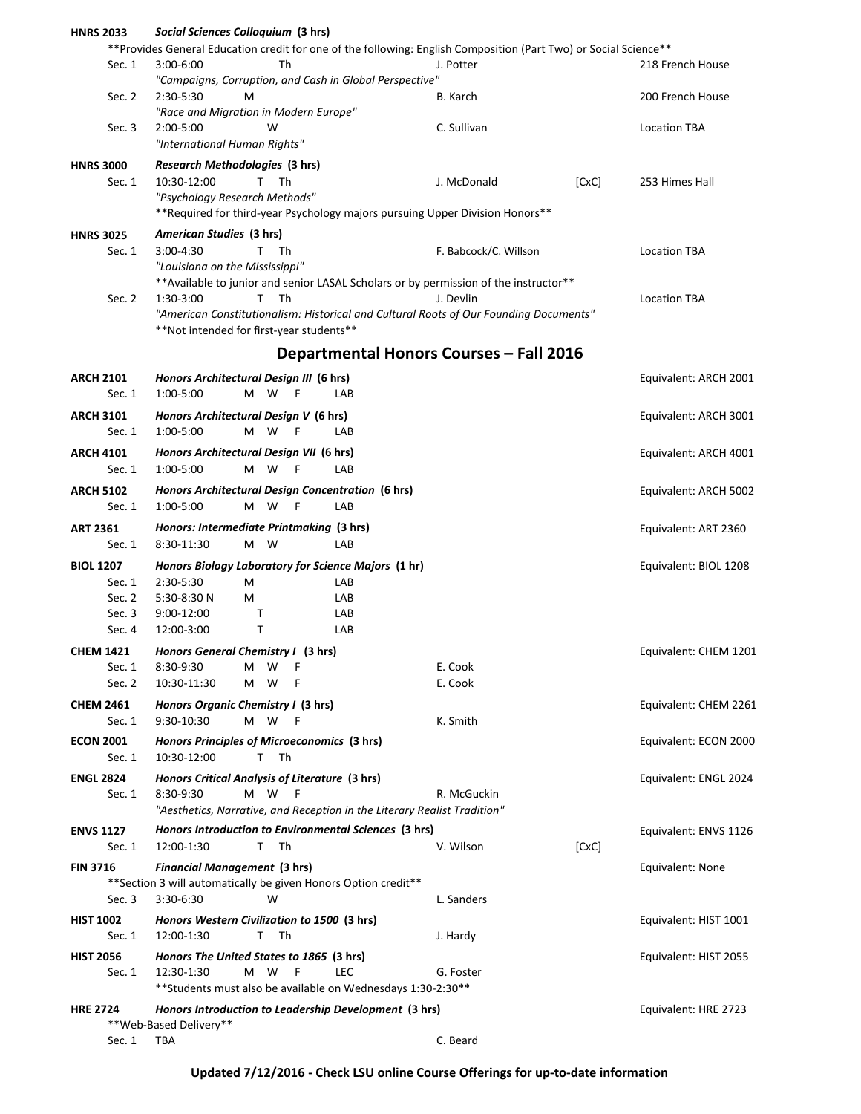| <b>HNRS 2033</b>          | Social Sciences Colloquium (3 hrs)                                                                                     |                                                |       |                       |
|---------------------------|------------------------------------------------------------------------------------------------------------------------|------------------------------------------------|-------|-----------------------|
|                           | **Provides General Education credit for one of the following: English Composition (Part Two) or Social Science**       |                                                |       |                       |
| Sec. 1                    | 3:00-6:00<br>Th                                                                                                        | J. Potter                                      |       | 218 French House      |
|                           | "Campaigns, Corruption, and Cash in Global Perspective"                                                                |                                                |       |                       |
| Sec. 2                    | 2:30-5:30<br>м                                                                                                         | B. Karch                                       |       | 200 French House      |
|                           | "Race and Migration in Modern Europe"<br>W                                                                             | C. Sullivan                                    |       |                       |
| Sec. 3                    | 2:00-5:00<br>"International Human Rights"                                                                              |                                                |       | <b>Location TBA</b>   |
|                           |                                                                                                                        |                                                |       |                       |
| <b>HNRS 3000</b>          | Research Methodologies (3 hrs)                                                                                         |                                                |       |                       |
| Sec. 1                    | 10:30-12:00<br>T.<br>Th                                                                                                | J. McDonald                                    | [CxC] | 253 Himes Hall        |
|                           | "Psychology Research Methods"<br>** Required for third-year Psychology majors pursuing Upper Division Honors**         |                                                |       |                       |
|                           |                                                                                                                        |                                                |       |                       |
| <b>HNRS 3025</b>          | American Studies (3 hrs)                                                                                               |                                                |       |                       |
| Sec. 1                    | 3:00-4:30<br>Τ<br>Th                                                                                                   | F. Babcock/C. Willson                          |       | <b>Location TBA</b>   |
|                           | "Louisiana on the Mississippi"<br>**Available to junior and senior LASAL Scholars or by permission of the instructor** |                                                |       |                       |
| Sec. 2                    | T<br>Th<br>1:30-3:00                                                                                                   | <b>Location TBA</b>                            |       |                       |
|                           | "American Constitutionalism: Historical and Cultural Roots of Our Founding Documents"                                  |                                                |       |                       |
|                           | **Not intended for first-year students**                                                                               |                                                |       |                       |
|                           |                                                                                                                        |                                                |       |                       |
|                           |                                                                                                                        | <b>Departmental Honors Courses - Fall 2016</b> |       |                       |
| <b>ARCH 2101</b>          | Honors Architectural Design III (6 hrs)                                                                                |                                                |       | Equivalent: ARCH 2001 |
| Sec. 1                    | M W<br>1:00-5:00<br>F<br>LAB                                                                                           |                                                |       |                       |
| <b>ARCH 3101</b>          | Honors Architectural Design V (6 hrs)                                                                                  |                                                |       | Equivalent: ARCH 3001 |
| Sec. 1                    | M W<br>1:00-5:00<br>F<br>LAB                                                                                           |                                                |       |                       |
| <b>ARCH 4101</b>          | Honors Architectural Design VII (6 hrs)                                                                                |                                                |       | Equivalent: ARCH 4001 |
| Sec. 1                    | 1:00-5:00<br>M W<br>LAB<br>F                                                                                           |                                                |       |                       |
| <b>ARCH 5102</b>          | Honors Architectural Design Concentration (6 hrs)                                                                      |                                                |       | Equivalent: ARCH 5002 |
| Sec. 1                    | 1:00-5:00<br>M W<br>LAB<br>-F                                                                                          |                                                |       |                       |
|                           |                                                                                                                        |                                                |       |                       |
| <b>ART 2361</b><br>Sec. 1 | Honors: Intermediate Printmaking (3 hrs)<br>M W<br>LAB                                                                 |                                                |       | Equivalent: ART 2360  |
|                           | 8:30-11:30                                                                                                             |                                                |       |                       |
| <b>BIOL 1207</b>          | Honors Biology Laboratory for Science Majors (1 hr)                                                                    |                                                |       | Equivalent: BIOL 1208 |
| Sec. 1                    | М<br>2:30-5:30<br>LAB                                                                                                  |                                                |       |                       |
| Sec. 2                    | 5:30-8:30 N<br>M<br>LAB                                                                                                |                                                |       |                       |
| Sec. 3<br>Sec. 4          | 9:00-12:00<br>т<br>LAB<br>12:00-3:00<br>т<br>LAB                                                                       |                                                |       |                       |
|                           |                                                                                                                        |                                                |       |                       |
| <b>CHEM 1421</b>          | Honors General Chemistry I (3 hrs)                                                                                     |                                                |       | Equivalent: CHEM 1201 |
| Sec. 1                    | 8:30-9:30<br>М<br>- W<br>F                                                                                             | E. Cook                                        |       |                       |
| Sec. 2                    | 10:30-11:30<br>М<br>W<br>F                                                                                             | E. Cook                                        |       |                       |
| <b>CHEM 2461</b>          | Honors Organic Chemistry I (3 hrs)                                                                                     |                                                |       | Equivalent: CHEM 2261 |
| Sec. 1                    | 9:30-10:30<br>M<br>- W<br>F                                                                                            | K. Smith                                       |       |                       |
| <b>ECON 2001</b>          | Honors Principles of Microeconomics (3 hrs)                                                                            |                                                |       | Equivalent: ECON 2000 |
| Sec. 1                    | 10:30-12:00<br>T Th                                                                                                    |                                                |       |                       |
| <b>ENGL 2824</b>          | Honors Critical Analysis of Literature (3 hrs)                                                                         |                                                |       | Equivalent: ENGL 2024 |
| Sec. 1                    | M W<br>- F<br>8:30-9:30                                                                                                | R. McGuckin                                    |       |                       |
|                           | "Aesthetics, Narrative, and Reception in the Literary Realist Tradition"                                               |                                                |       |                       |
| <b>ENVS 1127</b>          | Honors Introduction to Environmental Sciences (3 hrs)                                                                  |                                                |       | Equivalent: ENVS 1126 |
| Sec. 1                    | 12:00-1:30<br>т<br>Th                                                                                                  | V. Wilson                                      | [CxC] |                       |
| <b>FIN 3716</b>           | <b>Financial Management (3 hrs)</b>                                                                                    |                                                |       | Equivalent: None      |
|                           | ** Section 3 will automatically be given Honors Option credit**                                                        |                                                |       |                       |
| Sec. 3                    | 3:30-6:30<br>W                                                                                                         | L. Sanders                                     |       |                       |
| <b>HIST 1002</b>          | Honors Western Civilization to 1500 (3 hrs)                                                                            |                                                |       | Equivalent: HIST 1001 |
| Sec. 1                    | 12:00-1:30<br>T.<br>Th                                                                                                 | J. Hardy                                       |       |                       |
| <b>HIST 2056</b>          | Honors The United States to 1865 (3 hrs)                                                                               |                                                |       | Equivalent: HIST 2055 |
| Sec. 1                    | 12:30-1:30<br>M W<br><b>LEC</b><br>-F                                                                                  | G. Foster                                      |       |                       |
|                           | ** Students must also be available on Wednesdays 1:30-2:30**                                                           |                                                |       |                       |
| <b>HRE 2724</b>           | Honors Introduction to Leadership Development (3 hrs)                                                                  |                                                |       | Equivalent: HRE 2723  |
|                           | **Web-Based Delivery**                                                                                                 |                                                |       |                       |
| Sec. 1                    | <b>TBA</b>                                                                                                             | C. Beard                                       |       |                       |

**Updated 7/12/2016 - Check LSU online Course Offerings for up-to-date information**